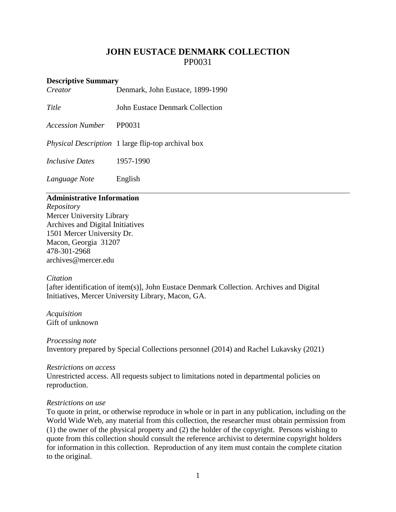# **JOHN EUSTACE DENMARK COLLECTION** PP0031

## **Descriptive Summary**

| Creator | Denmark, John Eustace, 1899-1990 |  |
|---------|----------------------------------|--|
|---------|----------------------------------|--|

*Title* **John Eustace Denmark Collection** 

*Accession Number* PP0031

*Physical Description* 1 large flip-top archival box

*Inclusive Dates* 1957-1990

*Language Note* English

## **Administrative Information**

*Repository* Mercer University Library Archives and Digital Initiatives 1501 Mercer University Dr. Macon, Georgia 31207 478-301-2968 [archives@mercer.edu](mailto:archives@mercer.edu)

#### *Citation*

[after identification of item(s)], John Eustace Denmark Collection. Archives and Digital Initiatives, Mercer University Library, Macon, GA.

*Acquisition* Gift of unknown

*Processing note* Inventory prepared by Special Collections personnel (2014) and Rachel Lukavsky (2021)

#### *Restrictions on access*

Unrestricted access. All requests subject to limitations noted in departmental policies on reproduction.

#### *Restrictions on use*

To quote in print, or otherwise reproduce in whole or in part in any publication, including on the World Wide Web, any material from this collection, the researcher must obtain permission from (1) the owner of the physical property and (2) the holder of the copyright. Persons wishing to quote from this collection should consult the reference archivist to determine copyright holders for information in this collection. Reproduction of any item must contain the complete citation to the original.